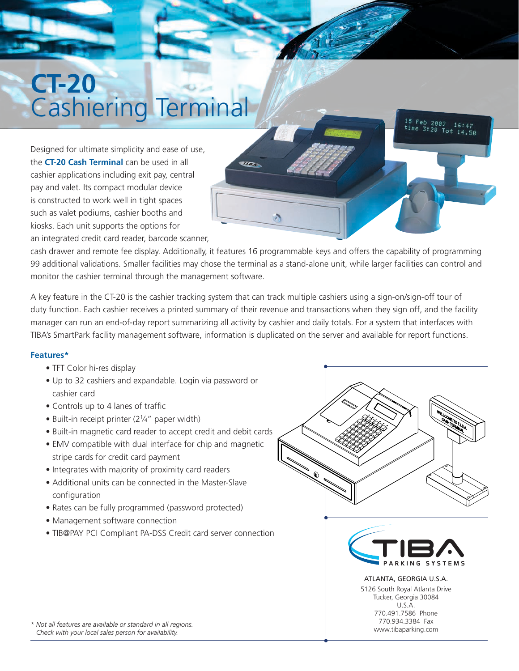## **CT-20** Cashiering Terminal

Designed for ultimate simplicity and ease of use, the **CT-20 Cash Terminal** can be used in all cashier applications including exit pay, central pay and valet. Its compact modular device is constructed to work well in tight spaces such as valet podiums, cashier booths and kiosks. Each unit supports the options for

an integrated credit card reader, barcode scanner,

cash drawer and remote fee display. Additionally, it features 16 programmable keys and offers the capability of programming 99 additional validations. Smaller facilities may chose the terminal as a stand-alone unit, while larger facilities can control and monitor the cashier terminal through the management software.

**Alban** 

A key feature in the CT-20 is the cashier tracking system that can track multiple cashiers using a sign-on/sign-off tour of duty function. Each cashier receives a printed summary of their revenue and transactions when they sign off, and the facility manager can run an end-of-day report summarizing all activity by cashier and daily totals. For a system that interfaces with TIBA's SmartPark facility management software, information is duplicated on the server and available for report functions.

## **Features\***

- TFT Color hi-res display
- Up to 32 cashiers and expandable. Login via password or cashier card
- Controls up to 4 lanes of traffic
- Built-in receipt printer (21/4" paper width)
- Built-in magnetic card reader to accept credit and debit cards
- EMV compatible with dual interface for chip and magnetic stripe cards for credit card payment
- Integrates with majority of proximity card readers
- Additional units can be connected in the Master-Slave configuration
- Rates can be fully programmed (password protected)
- Management software connection
- TIB@PAY PCI Compliant PA-DSS Credit card server connection



 $^{15}$  Feb 2002 time 3:28 Tot 14.50

16:47

www.tibaparking.com

*\* Not all features are available or standard in all regions. Check with your local sales person for availability.*